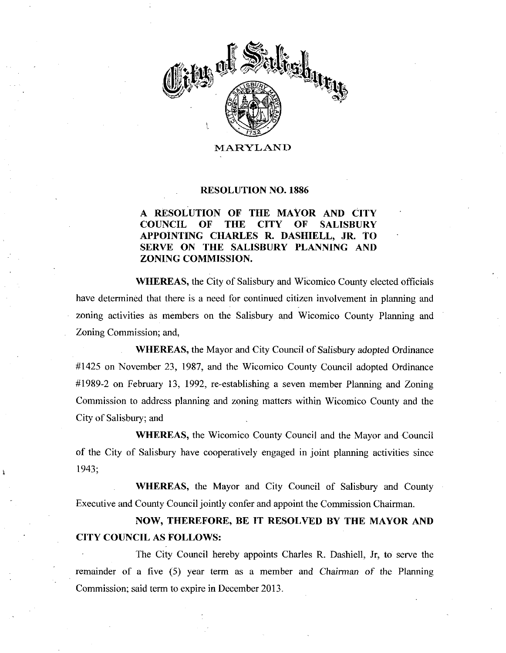

MARYLAND

#### RESOLUTION NO. 1886

### A RESOLUTION OF THE MAYOR AND CITY COUNCIL OF THE CTTY OF SALISBURY APPOINTING CHARLES R. DASHIELL, JR. TO SERVE ON THE SALISBURY PLANNING AND ZONING COMMISSION

WHEREAS, the City of Salisbury and Wicomico County elected officials have determined that there is a need for continued citizen involvement in planning and zoning activities as members on the Salisbury and Wicomico County Planning and Zoning Commission; and,

WHEREAS, the Mayor and City Council of Salisbury adopted Ordinance 1425 on November 23 1987 and the Wicomico County Council adopted Ordinance #1989-2 on February 13, 1992, re-establishing a seven member Planning and Zoning Commission to address planning and zoning matters within Wicomico County and the City of Salisbury; and

WHEREAS, the Wicomico County Council and the Mayor and Council of the City of Salisbury have cooperatively engaged in joint planning activities since 1943

WHEREAS, the Mayor and City Council of Salisbury and County Executive and County Council jointly confer and appoint the Commission Chairman.

# NOW, THEREFORE, BE IT RESOLVED BY THE MAYOR AND CITY COUNCIL AS FOLLOWS

The City Council hereby appoints Charles R. Dashiell, Jr, to serve the remainder of a five  $(5)$  year term as a member and Chairman of the Planning Commission; said term to expire in December 2013.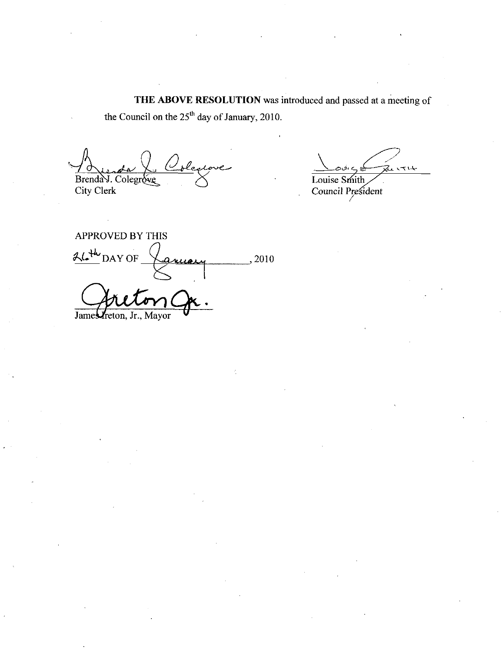THE ABOVE RESOLUTION was introduced and passed at a meeting of the Council on the  $25<sup>th</sup>$  day of January, 2010.

Brenda J. Colegrove denione

City Clerk

<u>،ن ح</u> 2 1714 Louise Smith

Council President

APPROVED BY THIS  $AL^{th}$ DAY OF  $\sqrt{a}$ uery 2010 James reton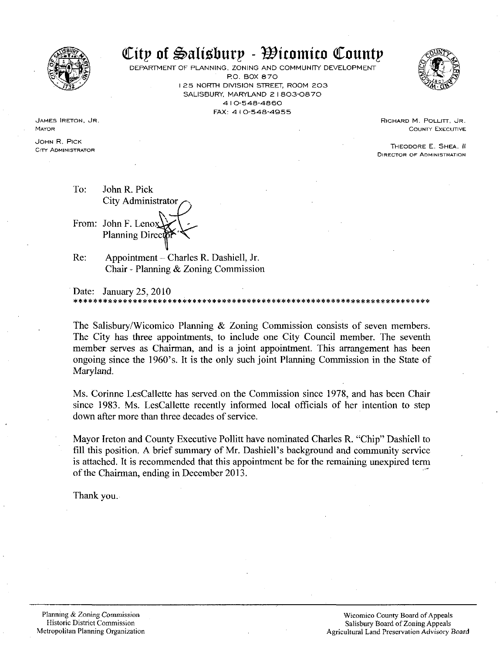

# **EXALL SECTION OF STRUCT OF PLANNING, ZONING AND COMMUNITY DEVELOPMENT**

DEPARTMENT OF PLANNING, ZONING AND COMMUNITY DEVELOPMENT I 25 NORTH DIVISION STREET, ROOM 203 6, ZONING AND CONTRET,<br>P.O. BOX 870<br>DIVISION STREET,<br>A 10-548-4860<br>X: 410-548-495  $\text{Hupp} - \text{H form}$ <br>ING, ZONING AND COMMUN<br>P.O. BOX 870<br>TH DIVISION STREET, ROOM<br>RY, MARYLAND 21803-08<br>410-548-4860<br>FAX: 410-548-4955



RICHARD M. POLLITT, JR. COUNTY EXECUTIVE

THEODORE E SHEA II DIRECTOR OF ADMINISTRATION

JAMES RETON, JR. MAYOR

JOHN R. PICK CITY ADMINISTRATOR

To: John R. Pick City Administrator From: John F. Lenox Planning Direc

Re: Appointment - Charles R. Dashiell, Jr. Chair - Planning  $&$  Zoning Commission

Date: January 25, 2010

**Example 10** Children and Children and Children and Children and Children and Children and Children and Children and Children and Children and Children and Children and Children and Children and Children and Children and The Salisbury/Wicomico Planning  $&$  Zoning Commission consists of seven members. The City has three appointments, to include one City Council member. The seventh member serves as Chairman, and is a joint appointment. This arrangement has been ongoing since the 1960's. It is the only such joint Planning Commission in the State of The Salisbury/Wicomico Planning & Zoning Commission consists of seven members.<br>The City has three appointments, to include one City Council member. The seventh<br>member serves as Chairman, and is a joint appointment. This ar Maryland

Ms Corinne LesCallette has served on the Commission since 1978 and has been Chair down after more than three decades of service

Ms. Corinne LesCallette has served on the Commission since 1978, and has been Chair<br>since 1983. Ms. LesCallette recently informed local officials of her intention to step<br>down after more than three decades of service.<br>Mayo Mayor Ireton and County Executive Pollitt have nominated Charles R. "Chip" Dashiell to fill this position. A brief summary of Mr. Dashiell's background and community service is attached. It is recommended that this appointment be for the remaining unexpired term of the Chairman, ending in December 2013.

Thank you